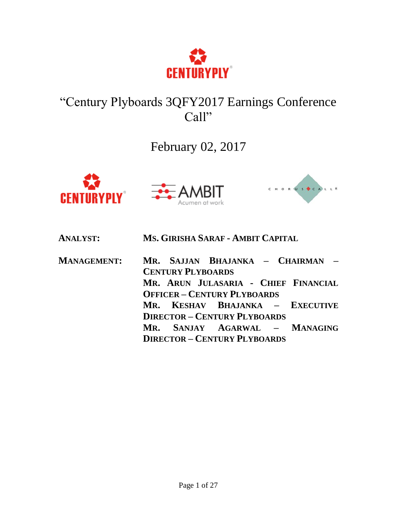

# "Century Plyboards 3QFY2017 Earnings Conference Call"

## February 02, 2017







| <b>ANALYST:</b>    | MS. GIRISHA SARAF - AMBIT CAPITAL                            |
|--------------------|--------------------------------------------------------------|
| <b>MANAGEMENT:</b> | MR. SAJJAN BHAJANKA - CHAIRMAN -<br><b>CENTURY PLYBOARDS</b> |
|                    | MR. ARUN JULASARIA - CHIEF FINANCIAL                         |
|                    | <b>OFFICER - CENTURY PLYBOARDS</b>                           |
|                    | MR. KESHAV BHAJANKA – EXECUTIVE                              |
|                    | <b>DIRECTOR - CENTURY PLYBOARDS</b>                          |
|                    | MR. SANJAY AGARWAL - MANAGING                                |
|                    | <b>DIRECTOR - CENTURY PLYBOARDS</b>                          |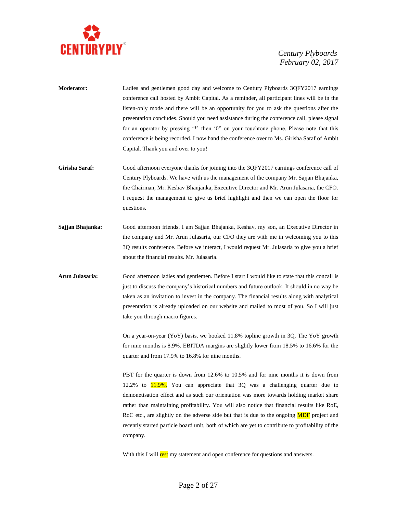

- **Moderator:** Ladies and gentlemen good day and welcome to Century Plyboards 3QFY2017 earnings conference call hosted by Ambit Capital. As a reminder, all participant lines will be in the listen-only mode and there will be an opportunity for you to ask the questions after the presentation concludes. Should you need assistance during the conference call, please signal for an operator by pressing '\*' then '0" on your touchtone phone. Please note that this conference is being recorded. I now hand the conference over to Ms. Girisha Saraf of Ambit Capital. Thank you and over to you!
- Girisha Saraf: Good afternoon everyone thanks for joining into the 3QFY2017 earnings conference call of Century Plyboards. We have with us the management of the company Mr. Sajjan Bhajanka, the Chairman, Mr. Keshav Bhanjanka, Executive Director and Mr. Arun Julasaria, the CFO. I request the management to give us brief highlight and then we can open the floor for questions.
- **Sajjan Bhajanka:** Good afternoon friends. I am Sajjan Bhajanka, Keshav, my son, an Executive Director in the company and Mr. Arun Julasaria, our CFO they are with me in welcoming you to this 3Q results conference. Before we interact, I would request Mr. Julasaria to give you a brief about the financial results. Mr. Julasaria.
- **Arun Julasaria:** Good afternoon ladies and gentlemen. Before I start I would like to state that this concall is just to discuss the company's historical numbers and future outlook. It should in no way be taken as an invitation to invest in the company. The financial results along with analytical presentation is already uploaded on our website and mailed to most of you. So I will just take you through macro figures.

On a year-on-year (YoY) basis, we booked 11.8% topline growth in 3Q. The YoY growth for nine months is 8.9%. EBITDA margins are slightly lower from 18.5% to 16.6% for the quarter and from 17.9% to 16.8% for nine months.

PBT for the quarter is down from 12.6% to 10.5% and for nine months it is down from 12.2% to  $11.9\%$ . You can appreciate that 3Q was a challenging quarter due to demonetisation effect and as such our orientation was more towards holding market share rather than maintaining profitability. You will also notice that financial results like RoE, RoC etc., are slightly on the adverse side but that is due to the ongoing **MDF** project and recently started particle board unit, both of which are yet to contribute to profitability of the company.

With this I will **rest** my statement and open conference for questions and answers.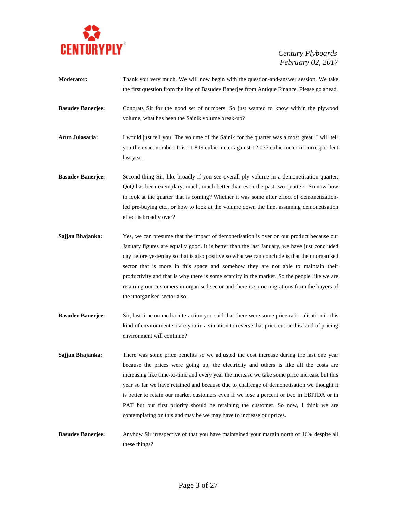

- **Moderator:** Thank you very much. We will now begin with the question-and-answer session. We take the first question from the line of Basudev Banerjee from Antique Finance. Please go ahead. **Basudev Banerjee:** Congrats Sir for the good set of numbers. So just wanted to know within the plywood volume, what has been the Sainik volume break-up? **Arun Julasaria:** I would just tell you. The volume of the Sainik for the quarter was almost great. I will tell you the exact number. It is 11,819 cubic meter against 12,037 cubic meter in correspondent last year. **Basudev Banerjee:** Second thing Sir, like broadly if you see overall ply volume in a demonetisation quarter, QoQ has been exemplary, much, much better than even the past two quarters. So now how to look at the quarter that is coming? Whether it was some after effect of demonetizationled pre-buying etc., or how to look at the volume down the line, assuming demonetisation effect is broadly over?
- **Sajjan Bhajanka:** Yes, we can presume that the impact of demonetisation is over on our product because our January figures are equally good. It is better than the last January, we have just concluded day before yesterday so that is also positive so what we can conclude is that the unorganised sector that is more in this space and somehow they are not able to maintain their productivity and that is why there is some scarcity in the market. So the people like we are retaining our customers in organised sector and there is some migrations from the buyers of the unorganised sector also.
- **Basudev Banerjee:** Sir, last time on media interaction you said that there were some price rationalisation in this kind of environment so are you in a situation to reverse that price cut or this kind of pricing environment will continue?
- **Sajjan Bhajanka:** There was some price benefits so we adjusted the cost increase during the last one year because the prices were going up, the electricity and others is like all the costs are increasing like time-to-time and every year the increase we take some price increase but this year so far we have retained and because due to challenge of demonetisation we thought it is better to retain our market customers even if we lose a percent or two in EBITDA or in PAT but our first priority should be retaining the customer. So now, I think we are contemplating on this and may be we may have to increase our prices.
- **Basudev Banerjee:** Anyhow Sir irrespective of that you have maintained your margin north of 16% despite all these things?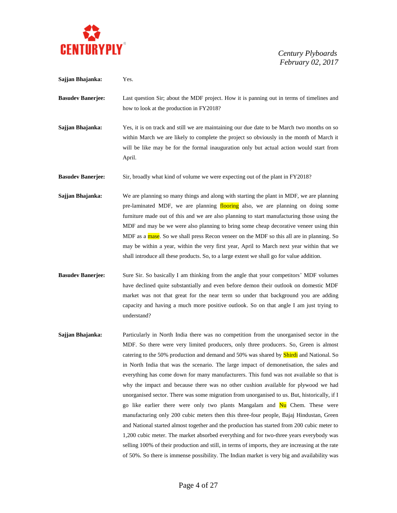

**Sajjan Bhajanka:** Yes. **Basudev Banerjee:** Last question Sir; about the MDF project. How it is panning out in terms of timelines and how to look at the production in FY2018? **Sajjan Bhajanka:** Yes, it is on track and still we are maintaining our due date to be March two months on so within March we are likely to complete the project so obviously in the month of March it will be like may be for the formal inauguration only but actual action would start from April. **Basudev Banerjee:** Sir, broadly what kind of volume we were expecting out of the plant in FY2018? **Sajjan Bhajanka:** We are planning so many things and along with starting the plant in MDF, we are planning pre-laminated MDF, we are planning flooring also, we are planning on doing some furniture made out of this and we are also planning to start manufacturing those using the MDF and may be we were also planning to bring some cheap decorative veneer using thin MDF as a mase. So we shall press Recon veneer on the MDF so this all are in planning. So may be within a year, within the very first year, April to March next year within that we shall introduce all these products. So, to a large extent we shall go for value addition. **Basudev Banerjee:** Sure Sir. So basically I am thinking from the angle that your competitors' MDF volumes have declined quite substantially and even before demon their outlook on domestic MDF market was not that great for the near term so under that background you are adding capacity and having a much more positive outlook. So on that angle I am just trying to understand? **Sajjan Bhajanka:** Particularly in North India there was no competition from the unorganised sector in the MDF. So there were very limited producers, only three producers. So, Green is almost catering to the 50% production and demand and 50% was shared by **Shirdi** and National. So in North India that was the scenario. The large impact of demonetisation, the sales and everything has come down for many manufacturers. This fund was not available so that is why the impact and because there was no other cushion available for plywood we had unorganised sector. There was some migration from unorganised to us. But, historically, if I go like earlier there were only two plants Mangalam and Nu Chem. These were manufacturing only 200 cubic meters then this three-four people, Bajaj Hindustan, Green and National started almost together and the production has started from 200 cubic meter to 1,200 cubic meter. The market absorbed everything and for two-three years everybody was selling 100% of their production and still, in terms of imports, they are increasing at the rate of 50%. So there is immense possibility. The Indian market is very big and availability was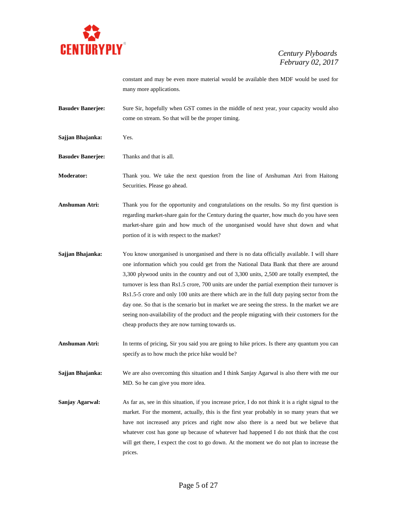

constant and may be even more material would be available then MDF would be used for many more applications.

- **Basudev Banerjee:** Sure Sir, hopefully when GST comes in the middle of next year, your capacity would also come on stream. So that will be the proper timing.
- **Sajjan Bhajanka:** Yes.
- **Basudev Banerjee:** Thanks and that is all.

**Moderator:** Thank you. We take the next question from the line of Anshuman Atri from Haitong Securities. Please go ahead.

- **Anshuman Atri:** Thank you for the opportunity and congratulations on the results. So my first question is regarding market-share gain for the Century during the quarter, how much do you have seen market-share gain and how much of the unorganised would have shut down and what portion of it is with respect to the market?
- **Sajjan Bhajanka:** You know unorganised is unorganised and there is no data officially available. I will share one information which you could get from the National Data Bank that there are around 3,300 plywood units in the country and out of 3,300 units, 2,500 are totally exempted, the turnover is less than Rs1.5 crore, 700 units are under the partial exemption their turnover is Rs1.5-5 crore and only 100 units are there which are in the full duty paying sector from the day one. So that is the scenario but in market we are seeing the stress. In the market we are seeing non-availability of the product and the people migrating with their customers for the cheap products they are now turning towards us.
- **Anshuman Atri:** In terms of pricing, Sir you said you are going to hike prices. Is there any quantum you can specify as to how much the price hike would be?
- **Sajjan Bhajanka:** We are also overcoming this situation and I think Sanjay Agarwal is also there with me our MD. So he can give you more idea.
- **Sanjay Agarwal:** As far as, see in this situation, if you increase price, I do not think it is a right signal to the market. For the moment, actually, this is the first year probably in so many years that we have not increased any prices and right now also there is a need but we believe that whatever cost has gone up because of whatever had happened I do not think that the cost will get there, I expect the cost to go down. At the moment we do not plan to increase the prices.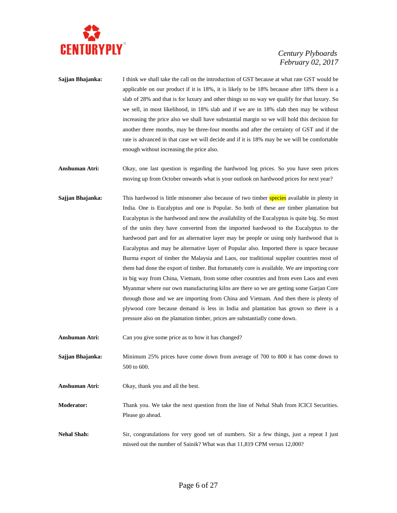

- **Sajjan Bhajanka:** I think we shall take the call on the introduction of GST because at what rate GST would be applicable on our product if it is 18%, it is likely to be 18% because after 18% there is a slab of 28% and that is for luxury and other things so no way we qualify for that luxury. So we sell, in most likelihood, in 18% slab and if we are in 18% slab then may be without increasing the price also we shall have substantial margin so we will hold this decision for another three months, may be three-four months and after the certainty of GST and if the rate is advanced in that case we will decide and if it is 18% may be we will be comfortable enough without increasing the price also.
- **Anshuman Atri:** Okay, one last question is regarding the hardwood log prices. So you have seen prices moving up from October onwards what is your outlook on hardwood prices for next year?
- **Sajjan Bhajanka:** This hardwood is little misnomer also because of two timber species available in plenty in India. One is Eucalyptus and one is Popular. So both of these are timber plantation but Eucalyptus is the hardwood and now the availability of the Eucalyptus is quite big. So most of the units they have converted from the imported hardwood to the Eucalyptus to the hardwood part and for an alternative layer may be people or using only hardwood that is Eucalyptus and may be alternative layer of Popular also. Imported there is space because Burma export of timber the Malaysia and Laos, our traditional supplier countries most of them had done the export of timber. But fortunately core is available. We are importing core in big way from China, Vietnam, from some other countries and from even Laos and even Myanmar where our own manufacturing kilns are there so we are getting some Garjan Core through those and we are importing from China and Vietnam. And then there is plenty of plywood core because demand is less in India and plantation has grown so there is a pressure also on the plantation timber, prices are substantially come down.

Anshuman Atri: Can you give some price as to how it has changed?

**Sajjan Bhajanka:** Minimum 25% prices have come down from average of 700 to 800 it has come down to 500 to 600.

**Anshuman Atri:** Okay, thank you and all the best.

**Moderator:** Thank you. We take the next question from the line of Nehal Shah from ICICI Securities. Please go ahead.

**Nehal Shah:** Sir, congratulations for very good set of numbers. Sir a few things, just a repeat I just missed out the number of Sainik? What was that 11,819 CPM versus 12,000?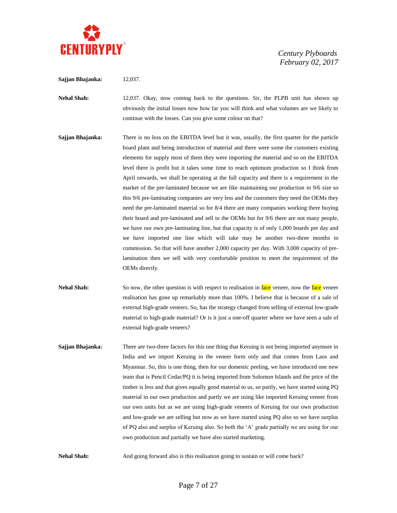

#### **Sajjan Bhajanka:** 12,037.

**Nehal Shah:** 12,037. Okay, now coming back to the questions. Sir, the PLPB unit has shown up obviously the initial losses now how far you will think and what volumes are we likely to continue with the losses. Can you give some colour on that?

**Sajjan Bhajanka:** There is no loss on the EBITDA level but it was, usually, the first quarter for the particle board plant and being introduction of material and there were some the customers existing elements for supply most of them they were importing the material and so on the EBITDA level there is profit but it takes some time to reach optimum production so I think from April onwards, we shall be operating at the full capacity and there is a requirement in the market of the pre-laminated because we are like maintaining our production in 9/6 size so this 9/6 pre-laminating companies are very less and the customers they need the OEMs they need the pre-laminated material so for 8/4 there are many companies working there buying their board and pre-laminated and sell to the OEMs but for 9/6 there are not many people, we have our own pre-laminating line, but that capacity is of only 1,000 boards per day and we have imported one line which will take may be another two-three months to commission. So that will have another 2,000 capacity per day. With 3,000 capacity of prelamination then we sell with very comfortable position to meet the requirement of the OEMs directly.

**Nehal Shah:** So now, the other question is with respect to realisation in face veneer, now the face veneer realisation has gone up remarkably more than 100%. I believe that is because of a sale of external high-grade veneers. So, has the strategy changed from selling of external low-grade material to high-grade material? Or is it just a one-off quarter where we have seen a sale of external high-grade veneers?

**Sajjan Bhajanka:** There are two-three factors for this one thing that Keruing is not being imported anymore in India and we import Keruing in the veneer form only and that comes from Laos and Myanmar. So, this is one thing, then for our domestic peeling, we have introduced one new team that is Pencil Cedar/PQ it is being imported from Solomon Islands and the price of the timber is less and that gives equally good material to us, so partly, we have started using PQ material in our own production and partly we are using like imported Keruing veneer from our own units but as we are using high-grade veneers of Keruing for our own production and low-grade we are selling but now as we have started using PQ also so we have surplus of PQ also and surplus of Keruing also. So both the 'A' grade partially we are using for our own production and partially we have also started marketing.

**Nehal Shah:** And going forward also is this realisation going to sustain or will come back?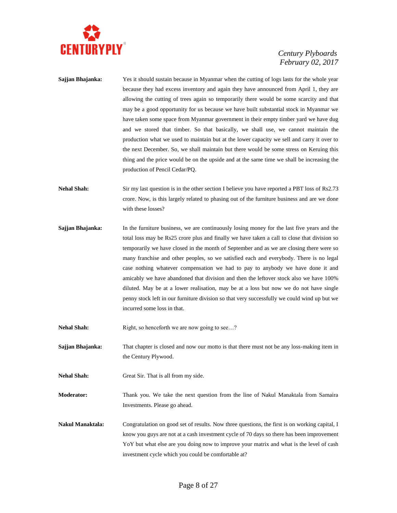

- **Sajjan Bhajanka:** Yes it should sustain because in Myanmar when the cutting of logs lasts for the whole year because they had excess inventory and again they have announced from April 1, they are allowing the cutting of trees again so temporarily there would be some scarcity and that may be a good opportunity for us because we have built substantial stock in Myanmar we have taken some space from Myanmar government in their empty timber yard we have dug and we stored that timber. So that basically, we shall use, we cannot maintain the production what we used to maintain but at the lower capacity we sell and carry it over to the next December. So, we shall maintain but there would be some stress on Keruing this thing and the price would be on the upside and at the same time we shall be increasing the production of Pencil Cedar/PQ.
- **Nehal Shah:** Sir my last question is in the other section I believe you have reported a PBT loss of Rs2.73 crore. Now, is this largely related to phasing out of the furniture business and are we done with these losses?
- **Sajjan Bhajanka:** In the furniture business, we are continuously losing money for the last five years and the total loss may be Rs25 crore plus and finally we have taken a call to close that division so temporarily we have closed in the month of September and as we are closing there were so many franchise and other peoples, so we satisfied each and everybody. There is no legal case nothing whatever compensation we had to pay to anybody we have done it and amicably we have abandoned that division and then the leftover stock also we have 100% diluted. May be at a lower realisation, may be at a loss but now we do not have single penny stock left in our furniture division so that very successfully we could wind up but we incurred some loss in that.
- **Nehal Shah:** Right, so henceforth we are now going to see...?
- **Sajjan Bhajanka:** That chapter is closed and now our motto is that there must not be any loss-making item in the Century Plywood.
- **Nehal Shah:** Great Sir. That is all from my side.
- **Moderator:** Thank you. We take the next question from the line of Nakul Manaktala from Samaira Investments. Please go ahead.
- **Nakul Manaktala:** Congratulation on good set of results. Now three questions, the first is on working capital, I know you guys are not at a cash investment cycle of 70 days so there has been improvement YoY but what else are you doing now to improve your matrix and what is the level of cash investment cycle which you could be comfortable at?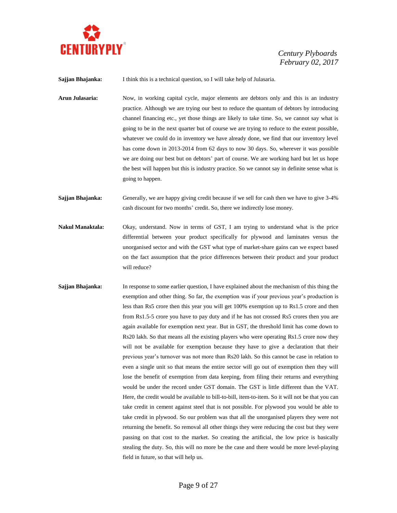

**Sajjan Bhajanka:** I think this is a technical question, so I will take help of Julasaria.

**Arun Julasaria:** Now, in working capital cycle, major elements are debtors only and this is an industry practice. Although we are trying our best to reduce the quantum of debtors by introducing channel financing etc., yet those things are likely to take time. So, we cannot say what is going to be in the next quarter but of course we are trying to reduce to the extent possible, whatever we could do in inventory we have already done, we find that our inventory level has come down in 2013-2014 from 62 days to now 30 days. So, wherever it was possible we are doing our best but on debtors' part of course. We are working hard but let us hope the best will happen but this is industry practice. So we cannot say in definite sense what is going to happen.

**Sajjan Bhajanka:** Generally, we are happy giving credit because if we sell for cash then we have to give 3-4% cash discount for two months' credit. So, there we indirectly lose money.

- **Nakul Manaktala:** Okay, understand. Now in terms of GST, I am trying to understand what is the price differential between your product specifically for plywood and laminates versus the unorganised sector and with the GST what type of market-share gains can we expect based on the fact assumption that the price differences between their product and your product will reduce?
- **Sajjan Bhajanka:** In response to some earlier question, I have explained about the mechanism of this thing the exemption and other thing. So far, the exemption was if your previous year's production is less than Rs5 crore then this year you will get 100% exemption up to Rs1.5 crore and then from Rs1.5-5 crore you have to pay duty and if he has not crossed Rs5 crores then you are again available for exemption next year. But in GST, the threshold limit has come down to Rs20 lakh. So that means all the existing players who were operating Rs1.5 crore now they will not be available for exemption because they have to give a declaration that their previous year's turnover was not more than Rs20 lakh. So this cannot be case in relation to even a single unit so that means the entire sector will go out of exemption then they will lose the benefit of exemption from data keeping, from filing their returns and everything would be under the record under GST domain. The GST is little different than the VAT. Here, the credit would be available to bill-to-bill, item-to-item. So it will not be that you can take credit in cement against steel that is not possible. For plywood you would be able to take credit in plywood. So our problem was that all the unorganised players they were not returning the benefit. So removal all other things they were reducing the cost but they were passing on that cost to the market. So creating the artificial, the low price is basically stealing the duty. So, this will no more be the case and there would be more level-playing field in future, so that will help us.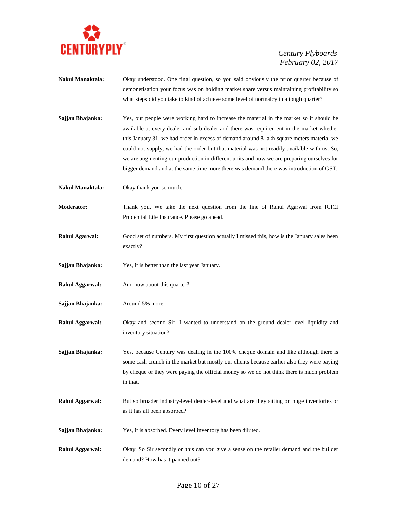

**Nakul Manaktala:** Okay understood. One final question, so you said obviously the prior quarter because of demonetisation your focus was on holding market share versus maintaining profitability so what steps did you take to kind of achieve some level of normalcy in a tough quarter? **Sajjan Bhajanka:** Yes, our people were working hard to increase the material in the market so it should be available at every dealer and sub-dealer and there was requirement in the market whether this January 31, we had order in excess of demand around 8 lakh square meters material we could not supply, we had the order but that material was not readily available with us. So, we are augmenting our production in different units and now we are preparing ourselves for bigger demand and at the same time more there was demand there was introduction of GST. **Nakul Manaktala:** Okay thank you so much. **Moderator:** Thank you. We take the next question from the line of Rahul Agarwal from ICICI Prudential Life Insurance. Please go ahead. **Rahul Agarwal:** Good set of numbers. My first question actually I missed this, how is the January sales been exactly? **Sajjan Bhajanka:** Yes, it is better than the last year January. **Rahul Aggarwal:** And how about this quarter? **Sajjan Bhajanka:** Around 5% more. **Rahul Aggarwal:** Okay and second Sir, I wanted to understand on the ground dealer-level liquidity and inventory situation? **Sajjan Bhajanka:** Yes, because Century was dealing in the 100% cheque domain and like although there is some cash crunch in the market but mostly our clients because earlier also they were paying by cheque or they were paying the official money so we do not think there is much problem in that. **Rahul Aggarwal:** But so broader industry-level dealer-level and what are they sitting on huge inventories or as it has all been absorbed? **Sajjan Bhajanka:** Yes, it is absorbed. Every level inventory has been diluted. **Rahul Aggarwal:** Okay. So Sir secondly on this can you give a sense on the retailer demand and the builder demand? How has it panned out?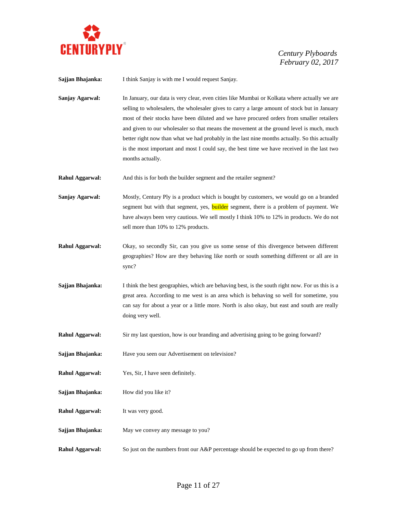

**Sajjan Bhajanka:** I think Sanjay is with me I would request Sanjay.

**Sanjay Agarwal:** In January, our data is very clear, even cities like Mumbai or Kolkata where actually we are selling to wholesalers, the wholesaler gives to carry a large amount of stock but in January most of their stocks have been diluted and we have procured orders from smaller retailers and given to our wholesaler so that means the movement at the ground level is much, much better right now than what we had probably in the last nine months actually. So this actually is the most important and most I could say, the best time we have received in the last two months actually.

**Rahul Aggarwal:** And this is for both the builder segment and the retailer segment?

**Sanjay Agarwal:** Mostly, Century Ply is a product which is bought by customers, we would go on a branded segment but with that segment, yes, **builder** segment, there is a problem of payment. We have always been very cautious. We sell mostly I think 10% to 12% in products. We do not sell more than 10% to 12% products.

- **Rahul Aggarwal:** Okay, so secondly Sir, can you give us some sense of this divergence between different geographies? How are they behaving like north or south something different or all are in sync?
- **Sajjan Bhajanka:** I think the best geographies, which are behaving best, is the south right now. For us this is a great area. According to me west is an area which is behaving so well for sometime, you can say for about a year or a little more. North is also okay, but east and south are really doing very well.
- **Rahul Aggarwal:** Sir my last question, how is our branding and advertising going to be going forward?
- **Sajjan Bhajanka:** Have you seen our Advertisement on television?
- **Rahul Aggarwal:** Yes, Sir, I have seen definitely.
- **Sajjan Bhajanka:** How did you like it?
- **Rahul Aggarwal:** It was very good.
- **Sajjan Bhajanka:** May we convey any message to you?
- **Rahul Aggarwal:** So just on the numbers front our A&P percentage should be expected to go up from there?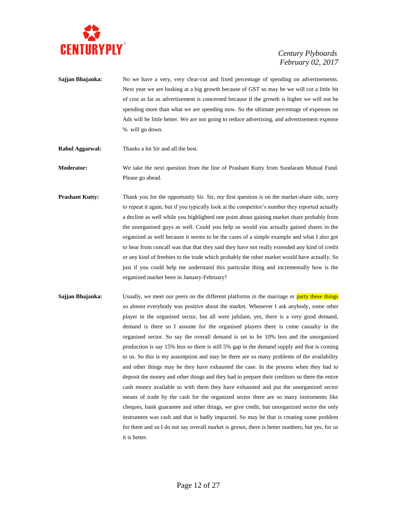

- **Sajjan Bhajanka:** No we have a very, very clear-cut and fixed percentage of spending on advertisements. Next year we are looking at a big growth because of GST so may be we will cut a little bit of cost as far as advertisement is concerned because if the growth is higher we will not be spending more than what we are spending now. So the ultimate percentage of expenses on Ads will be little better. We are not going to reduce advertising, and advertisement expense % will go down.
- **Rahul Aggarwal:** Thanks a lot Sir and all the best.

**Moderator:** We take the next question from the line of Prashant Kutty from Sundaram Mutual Fund. Please go ahead.

- **Prashant Kutty:** Thank you for the opportunity Sir. Sir, my first question is on the market-share side, sorry to repeat it again, but if you typically look at the competitor's number they reported actually a decline as well while you highlighted one point about gaining market share probably from the unorganised guys as well. Could you help us would you actually gained shares in the organized as well because it seems to be the cases of a simple example and what I also got to hear from concall was that that they said they have not really extended any kind of credit or any kind of freebies to the trade which probably the other market would have actually. So just if you could help me understand this particular thing and incrementally how is the organized market been in January-February?
- **Sajjan Bhajanka:** Usually, we meet our peers on the different platforms in the marriage or **party these things** so almost everybody was positive about the market. Whenever I ask anybody, some other player in the organised sector, but all were jubilant, yes, there is a very good demand, demand is there so I assume for the organised players there is come casualty in the organised sector. So say the overall demand is set to be 10% less and the unorganised production is say 15% less so there is still 5% gap in the demand supply and that is coming to us. So this is my assumption and may be there are so many problems of the availability and other things may be they have exhausted the case. In the process when they had to deposit the money and other things and they had to prepare their creditors so there the entire cash money available to with them they have exhausted and put the unorganized sector means of trade by the cash for the organized sector there are so many instruments like cheques, bank guarantee and other things, we give credit, but unorganized sector the only instrument was cash and that is badly impacted. So may be that is creating some problem for them and so I do not say overall market is grown, there is better numbers, but yes, for us it is better.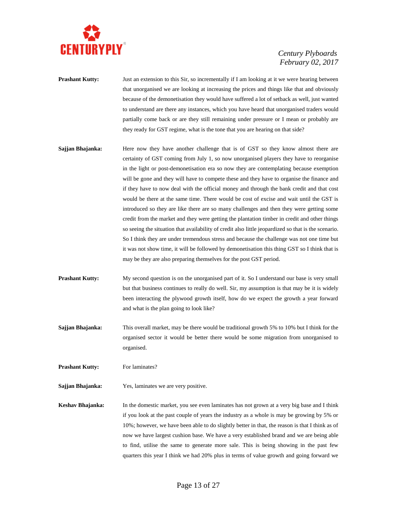

- **Prashant Kutty:** Just an extension to this Sir, so incrementally if I am looking at it we were hearing between that unorganised we are looking at increasing the prices and things like that and obviously because of the demonetisation they would have suffered a lot of setback as well, just wanted to understand are there any instances, which you have heard that unorganised traders would partially come back or are they still remaining under pressure or I mean or probably are they ready for GST regime, what is the tone that you are hearing on that side?
- **Sajjan Bhajanka:** Here now they have another challenge that is of GST so they know almost there are certainty of GST coming from July 1, so now unorganised players they have to reorganise in the light or post-demonetisation era so now they are contemplating because exemption will be gone and they will have to compete these and they have to organise the finance and if they have to now deal with the official money and through the bank credit and that cost would be there at the same time. There would be cost of excise and wait until the GST is introduced so they are like there are so many challenges and then they were getting some credit from the market and they were getting the plantation timber in credit and other things so seeing the situation that availability of credit also little jeopardized so that is the scenario. So I think they are under tremendous stress and because the challenge was not one time but it was not show time, it will be followed by demonetisation this thing GST so I think that is may be they are also preparing themselves for the post GST period.
- **Prashant Kutty:** My second question is on the unorganised part of it. So I understand our base is very small but that business continues to really do well. Sir, my assumption is that may be it is widely been interacting the plywood growth itself, how do we expect the growth a year forward and what is the plan going to look like?
- **Sajjan Bhajanka:** This overall market, may be there would be traditional growth 5% to 10% but I think for the organised sector it would be better there would be some migration from unorganised to organised.
- **Prashant Kutty:** For laminates?
- **Sajjan Bhajanka:** Yes, laminates we are very positive.
- **Keshav Bhajanka:** In the domestic market, you see even laminates has not grown at a very big base and I think if you look at the past couple of years the industry as a whole is may be growing by 5% or 10%; however, we have been able to do slightly better in that, the reason is that I think as of now we have largest cushion base. We have a very established brand and we are being able to find, utilise the same to generate more sale. This is being showing in the past few quarters this year I think we had 20% plus in terms of value growth and going forward we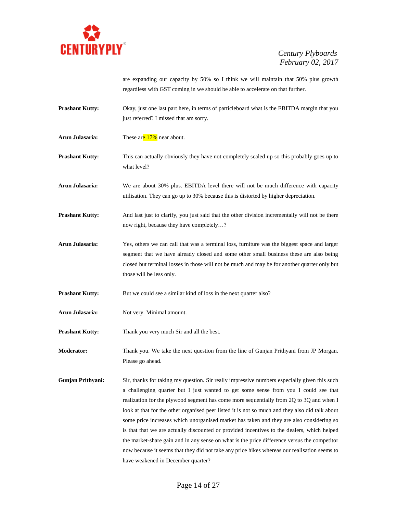

are expanding our capacity by 50% so I think we will maintain that 50% plus growth regardless with GST coming in we should be able to accelerate on that further.

- **Prashant Kutty:** Okay, just one last part here, in terms of particleboard what is the EBITDA margin that you just referred? I missed that am sorry.
- Arun Julasaria: These are 17% near about.
- **Prashant Kutty:** This can actually obviously they have not completely scaled up so this probably goes up to what level?
- **Arun Julasaria:** We are about 30% plus. EBITDA level there will not be much difference with capacity utilisation. They can go up to 30% because this is distorted by higher depreciation.
- **Prashant Kutty:** And last just to clarify, you just said that the other division incrementally will not be there now right, because they have completely…?
- **Arun Julasaria:** Yes, others we can call that was a terminal loss, furniture was the biggest space and larger segment that we have already closed and some other small business these are also being closed but terminal losses in those will not be much and may be for another quarter only but those will be less only.
- **Prashant Kutty:** But we could see a similar kind of loss in the next quarter also?
- Arun Julasaria: Not very. Minimal amount.
- **Prashant Kutty:** Thank you very much Sir and all the best.

**Moderator:** Thank you. We take the next question from the line of Gunjan Prithyani from JP Morgan. Please go ahead.

**Gunjan Prithyani:** Sir, thanks for taking my question. Sir really impressive numbers especially given this such a challenging quarter but I just wanted to get some sense from you I could see that realization for the plywood segment has come more sequentially from 2Q to 3Q and when I look at that for the other organised peer listed it is not so much and they also did talk about some price increases which unorganised market has taken and they are also considering so is that that we are actually discounted or provided incentives to the dealers, which helped the market-share gain and in any sense on what is the price difference versus the competitor now because it seems that they did not take any price hikes whereas our realisation seems to have weakened in December quarter?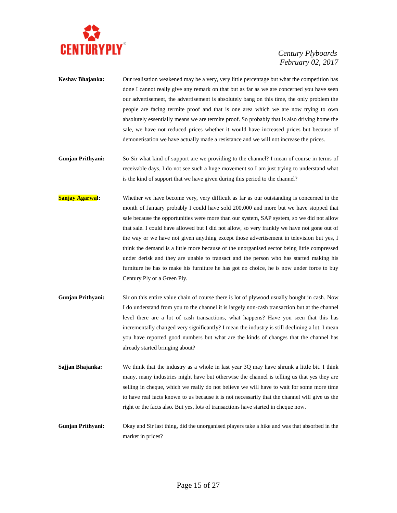

- **Keshav Bhajanka:** Our realisation weakened may be a very, very little percentage but what the competition has done I cannot really give any remark on that but as far as we are concerned you have seen our advertisement, the advertisement is absolutely bang on this time, the only problem the people are facing termite proof and that is one area which we are now trying to own absolutely essentially means we are termite proof. So probably that is also driving home the sale, we have not reduced prices whether it would have increased prices but because of demonetisation we have actually made a resistance and we will not increase the prices.
- **Gunjan Prithyani:** So Sir what kind of support are we providing to the channel? I mean of course in terms of receivable days, I do not see such a huge movement so I am just trying to understand what is the kind of support that we have given during this period to the channel?
- **Sanjay Agarwal:** Whether we have become very, very difficult as far as our outstanding is concerned in the month of January probably I could have sold 200,000 and more but we have stopped that sale because the opportunities were more than our system, SAP system, so we did not allow that sale. I could have allowed but I did not allow, so very frankly we have not gone out of the way or we have not given anything except those advertisement in television but yes, I think the demand is a little more because of the unorganised sector being little compressed under derisk and they are unable to transact and the person who has started making his furniture he has to make his furniture he has got no choice, he is now under force to buy Century Ply or a Green Ply.
- **Gunjan Prithyani:** Sir on this entire value chain of course there is lot of plywood usually bought in cash. Now I do understand from you to the channel it is largely non-cash transaction but at the channel level there are a lot of cash transactions, what happens? Have you seen that this has incrementally changed very significantly? I mean the industry is still declining a lot. I mean you have reported good numbers but what are the kinds of changes that the channel has already started bringing about?
- **Sajjan Bhajanka:** We think that the industry as a whole in last year 3Q may have shrunk a little bit. I think many, many industries might have but otherwise the channel is telling us that yes they are selling in cheque, which we really do not believe we will have to wait for some more time to have real facts known to us because it is not necessarily that the channel will give us the right or the facts also. But yes, lots of transactions have started in cheque now.

**Gunjan Prithyani:** Okay and Sir last thing, did the unorganised players take a hike and was that absorbed in the market in prices?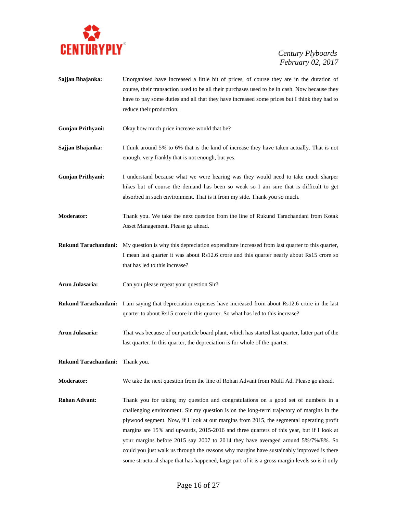

- **Sajjan Bhajanka:** Unorganised have increased a little bit of prices, of course they are in the duration of course, their transaction used to be all their purchases used to be in cash. Now because they have to pay some duties and all that they have increased some prices but I think they had to reduce their production.
- **Gunjan Prithyani:** Okay how much price increase would that be?

**Sajjan Bhajanka:** I think around 5% to 6% that is the kind of increase they have taken actually. That is not enough, very frankly that is not enough, but yes.

**Gunjan Prithyani:** I understand because what we were hearing was they would need to take much sharper hikes but of course the demand has been so weak so I am sure that is difficult to get absorbed in such environment. That is it from my side. Thank you so much.

**Moderator:** Thank you. We take the next question from the line of Rukund Tarachandani from Kotak Asset Management. Please go ahead.

**Rukund Tarachandani:** My question is why this depreciation expenditure increased from last quarter to this quarter, I mean last quarter it was about Rs12.6 crore and this quarter nearly about Rs15 crore so that has led to this increase?

**Arun Julasaria:** Can you please repeat your question Sir?

**Rukund Tarachandani:** I am saying that depreciation expenses have increased from about Rs12.6 crore in the last quarter to about Rs15 crore in this quarter. So what has led to this increase?

**Arun Julasaria:** That was because of our particle board plant, which has started last quarter, latter part of the last quarter. In this quarter, the depreciation is for whole of the quarter.

**Rukund Tarachandani:** Thank you.

**Moderator:** We take the next question from the line of Rohan Advant from Multi Ad. Please go ahead.

**Rohan Advant:** Thank you for taking my question and congratulations on a good set of numbers in a challenging environment. Sir my question is on the long-term trajectory of margins in the plywood segment. Now, if I look at our margins from 2015, the segmental operating profit margins are 15% and upwards, 2015-2016 and three quarters of this year, but if I look at your margins before 2015 say 2007 to 2014 they have averaged around 5%/7%/8%. So could you just walk us through the reasons why margins have sustainably improved is there some structural shape that has happened, large part of it is a gross margin levels so is it only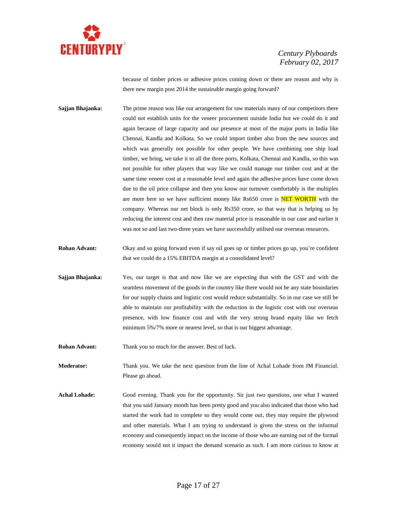

because of timber prices or adhesive prices coming down or there are reason and why is there new margin post 2014 the sustainable margin going forward?

- **Sajjan Bhajanka:** The prime reason was like our arrangement for raw materials many of our competitors there could not establish units for the veneer procurement outside India but we could do it and again because of large capacity and our presence at most of the major ports in India like Chennai, Kandla and Kolkata. So we could import timber also from the new sources and which was generally not possible for other people. We have combining one ship load timber, we bring, we take it to all the three ports, Kolkata, Chennai and Kandla, so this was not possible for other players that way like we could manage our timber cost and at the same time veneer cost at a reasonable level and again the adhesive prices have come down due to the oil price collapse and then you know our turnover comfortably is the multiples are more here so we have sufficient money like Rs650 crore is **NET WORTH** with the company. Whereas our net block is only Rs350 crore, so that way that is helping us by reducing the interest cost and then raw material price is reasonable in our case and earlier it was not so and last two-three years we have successfully utilised our overseas resources.
- **Rohan Advant:** Okay and so going forward even if say oil goes up or timber prices go up, you're confident that we could do a 15% EBITDA margin at a consolidated level?
- **Sajjan Bhajanka:** Yes, our target is that and now like we are expecting that with the GST and with the seamless movement of the goods in the country like there would not be any state boundaries for our supply chains and logistic cost would reduce substantially. So in our case we still be able to maintain our profitability with the reduction in the logistic cost with our overseas presence, with low finance cost and with the very strong brand equity like we fetch minimum 5%/7% more or nearest level, so that is our biggest advantage.
- **Rohan Advant:** Thank you so much for the answer. Best of luck.

**Moderator:** Thank you. We take the next question from the line of Achal Lohade from JM Financial. Please go ahead.

**Achal Lohade:** Good evening. Thank you for the opportunity. Sir just two questions, one what I wanted that you said January month has been pretty good and you also indicated that those who had started the work had to complete so they would come out, they may require the plywood and other materials. What I am trying to understand is given the stress on the informal economy and consequently impact on the income of those who are earning out of the formal economy would not it impact the demand scenario as such. I am more curious to know at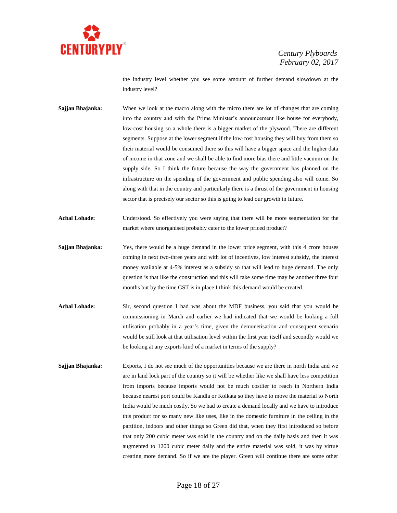

the industry level whether you see some amount of further demand slowdown at the industry level?

**Sajjan Bhajanka:** When we look at the macro along with the micro there are lot of changes that are coming into the country and with the Prime Minister's announcement like house for everybody, low-cost housing so a whole there is a bigger market of the plywood. There are different segments. Suppose at the lower segment if the low-cost housing they will buy from them so their material would be consumed there so this will have a bigger space and the higher data of income in that zone and we shall be able to find more bias there and little vacuum on the supply side. So I think the future because the way the government has planned on the infrastructure on the spending of the government and public spending also will come. So along with that in the country and particularly there is a thrust of the government in housing sector that is precisely our sector so this is going to lead our growth in future.

**Achal Lohade:** Understood. So effectively you were saying that there will be more segmentation for the market where unorganised probably cater to the lower priced product?

- **Sajjan Bhajanka:** Yes, there would be a huge demand in the lower price segment, with this 4 crore houses coming in next two-three years and with lot of incentives, low interest subsidy, the interest money available at 4-5% interest as a subsidy so that will lead to huge demand. The only question is that like the construction and this will take some time may be another three four months but by the time GST is in place I think this demand would be created.
- **Achal Lohade:** Sir, second question I had was about the MDF business, you said that you would be commissioning in March and earlier we had indicated that we would be looking a full utilisation probably in a year's time, given the demonetisation and consequent scenario would be still look at that utilisation level within the first year itself and secondly would we be looking at any exports kind of a market in terms of the supply?
- **Sajjan Bhajanka:** Exports, I do not see much of the opportunities because we are there in north India and we are in land lock part of the country so it will be whether like we shall have less competition from imports because imports would not be much costlier to reach in Northern India because nearest port could be Kandla or Kolkata so they have to move the material to North India would be much costly. So we had to create a demand locally and we have to introduce this product for so many new like uses, like in the domestic furniture in the ceiling in the partition, indoors and other things so Green did that, when they first introduced so before that only 200 cubic meter was sold in the country and on the daily basis and then it was augmented to 1200 cubic meter daily and the entire material was sold, it was by virtue creating more demand. So if we are the player. Green will continue there are some other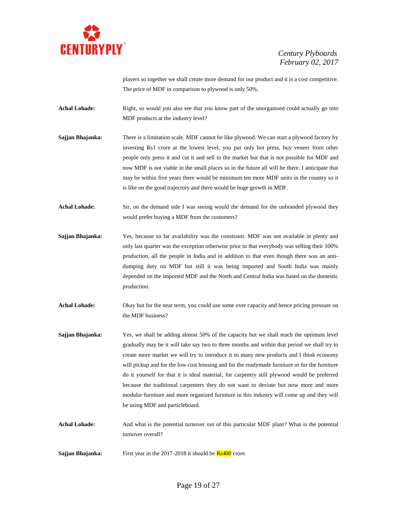

players so together we shall create more demand for our product and it is a cost competitive. The price of MDF in comparison to plywood is only 50%.

Achal Lohade: Right, so would you also see that you know part of the unorganised could actually go into MDF products at the industry level?

- **Sajjan Bhajanka:** There is a limitation scale. MDF cannot be like plywood. We can start a plywood factory by investing Rs1 crore at the lowest level, you put only hot press, buy veneer from other people only press it and cut it and sell in the market but that is not possible for MDF and now MDF is not viable in the small places so in the future all will be there. I anticipate that may be within five years there would be minimum ten more MDF units in the country so it is like on the good trajectory and there would be huge growth in MDF.
- Achal Lohade: Sir, on the demand side I was seeing would the demand for the unbranded plywood they would prefer buying a MDF from the customers?
- **Sajjan Bhajanka:** Yes, because so far availability was the constraint. MDF was not available in plenty and only last quarter was the exception otherwise prior to that everybody was selling their 100% production, all the people in India and in addition to that even though there was an antidumping duty on MDF but still it was being imported and South India was mainly depended on the imported MDF and the North and Central India was based on the domestic production.
- Achal Lohade: Okay but for the near term, you could use some over capacity and hence pricing pressure on the MDF business?
- **Sajjan Bhajanka:** Yes, we shall be adding almost 50% of the capacity but we shall reach the optimum level gradually may be it will take say two to three months and within that period we shall try to create more market we will try to introduce it to many new products and I think economy will pickup and for the low cost housing and for the readymade furniture or for the furniture do it yourself for that it is ideal material, for carpentry still plywood would be preferred because the traditional carpenters they do not want to deviate but now more and more modular furniture and more organized furniture in this industry will come up and they will be using MDF and particleboard.
- **Achal Lohade:** And what is the potential turnover out of this particular MDF plant? What is the potential turnover overall?
- **Sajjan Bhajanka:** First year in the 2017-2018 it should be **Rs400** crore.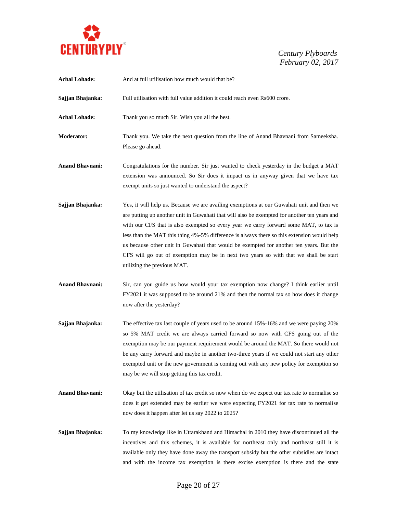

| <b>Achal Lohade:</b>   | And at full utilisation how much would that be?                                                                                                                                                                                                                                                                                                                                                                                                                                                                                                                                                    |
|------------------------|----------------------------------------------------------------------------------------------------------------------------------------------------------------------------------------------------------------------------------------------------------------------------------------------------------------------------------------------------------------------------------------------------------------------------------------------------------------------------------------------------------------------------------------------------------------------------------------------------|
| Sajjan Bhajanka:       | Full utilisation with full value addition it could reach even Rs600 crore.                                                                                                                                                                                                                                                                                                                                                                                                                                                                                                                         |
| <b>Achal Lohade:</b>   | Thank you so much Sir. Wish you all the best.                                                                                                                                                                                                                                                                                                                                                                                                                                                                                                                                                      |
| Moderator:             | Thank you. We take the next question from the line of Anand Bhavnani from Sameeksha.<br>Please go ahead.                                                                                                                                                                                                                                                                                                                                                                                                                                                                                           |
| <b>Anand Bhavnani:</b> | Congratulations for the number. Sir just wanted to check yesterday in the budget a MAT<br>extension was announced. So Sir does it impact us in anyway given that we have tax<br>exempt units so just wanted to understand the aspect?                                                                                                                                                                                                                                                                                                                                                              |
| Sajjan Bhajanka:       | Yes, it will help us. Because we are availing exemptions at our Guwahati unit and then we<br>are putting up another unit in Guwahati that will also be exempted for another ten years and<br>with our CFS that is also exempted so every year we carry forward some MAT, to tax is<br>less than the MAT this thing 4%-5% difference is always there so this extension would help<br>us because other unit in Guwahati that would be exempted for another ten years. But the<br>CFS will go out of exemption may be in next two years so with that we shall be start<br>utilizing the previous MAT. |
| <b>Anand Bhavnani:</b> | Sir, can you guide us how would your tax exemption now change? I think earlier until<br>FY2021 it was supposed to be around 21% and then the normal tax so how does it change<br>now after the yesterday?                                                                                                                                                                                                                                                                                                                                                                                          |
| Sajjan Bhajanka:       | The effective tax last couple of years used to be around 15%-16% and we were paying 20%<br>so 5% MAT credit we are always carried forward so now with CFS going out of the<br>exemption may be our payment requirement would be around the MAT. So there would not<br>be any carry forward and maybe in another two-three years if we could not start any other<br>exempted unit or the new government is coming out with any new policy for exemption so<br>may be we will stop getting this tax credit.                                                                                          |
| <b>Anand Bhavnani:</b> | Okay but the utilisation of tax credit so now when do we expect our tax rate to normalise so<br>does it get extended may be earlier we were expecting FY2021 for tax rate to normalise<br>now does it happen after let us say 2022 to 2025?                                                                                                                                                                                                                                                                                                                                                        |
| Sajjan Bhajanka:       | To my knowledge like in Uttarakhand and Himachal in 2010 they have discontinued all the<br>incentives and this schemes, it is available for northeast only and northeast still it is<br>available only they have done away the transport subsidy but the other subsidies are intact<br>and with the income tax exemption is there excise exemption is there and the state                                                                                                                                                                                                                          |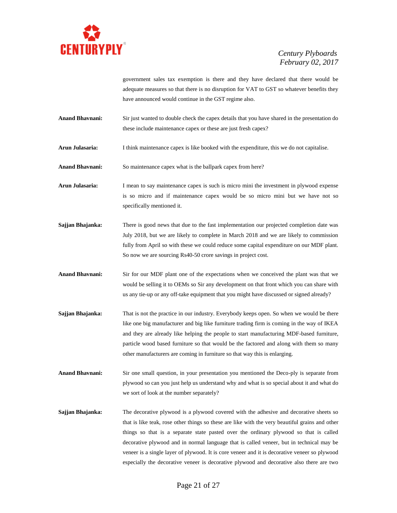

government sales tax exemption is there and they have declared that there would be adequate measures so that there is no disruption for VAT to GST so whatever benefits they have announced would continue in the GST regime also.

- **Anand Bhavnani:** Sir just wanted to double check the capex details that you have shared in the presentation do these include maintenance capex or these are just fresh capex?
- **Arun Julasaria:** I think maintenance capex is like booked with the expenditure, this we do not capitalise.
- **Anand Bhavnani:** So maintenance capex what is the ballpark capex from here?
- **Arun Julasaria:** I mean to say maintenance capex is such is micro mini the investment in plywood expense is so micro and if maintenance capex would be so micro mini but we have not so specifically mentioned it.
- **Sajjan Bhajanka:** There is good news that due to the fast implementation our projected completion date was July 2018, but we are likely to complete in March 2018 and we are likely to commission fully from April so with these we could reduce some capital expenditure on our MDF plant. So now we are sourcing Rs40-50 crore savings in project cost.
- **Anand Bhavnani:** Sir for our MDF plant one of the expectations when we conceived the plant was that we would be selling it to OEMs so Sir any development on that front which you can share with us any tie-up or any off-take equipment that you might have discussed or signed already?
- **Sajjan Bhajanka:** That is not the practice in our industry. Everybody keeps open. So when we would be there like one big manufacturer and big like furniture trading firm is coming in the way of IKEA and they are already like helping the people to start manufacturing MDF-based furniture, particle wood based furniture so that would be the factored and along with them so many other manufacturers are coming in furniture so that way this is enlarging.
- **Anand Bhavnani:** Sir one small question, in your presentation you mentioned the Deco-ply is separate from plywood so can you just help us understand why and what is so special about it and what do we sort of look at the number separately?
- **Sajjan Bhajanka:** The decorative plywood is a plywood covered with the adhesive and decorative sheets so that is like teak, rose other things so these are like with the very beautiful grains and other things so that is a separate state pasted over the ordinary plywood so that is called decorative plywood and in normal language that is called veneer, but in technical may be veneer is a single layer of plywood. It is core veneer and it is decorative veneer so plywood especially the decorative veneer is decorative plywood and decorative also there are two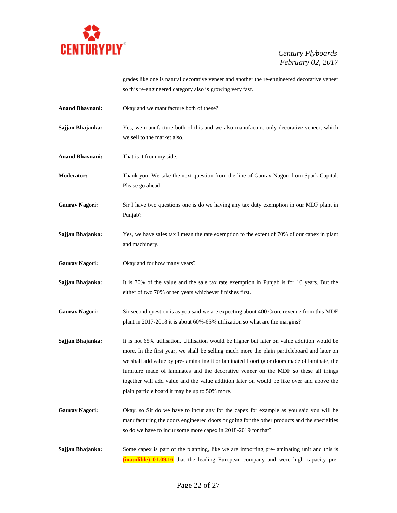

grades like one is natural decorative veneer and another the re-engineered decorative veneer so this re-engineered category also is growing very fast.

**Anand Bhavnani:** Okay and we manufacture both of these?

**Sajjan Bhajanka:** Yes, we manufacture both of this and we also manufacture only decorative veneer, which we sell to the market also.

**Anand Bhavnani:** That is it from my side.

**Moderator:** Thank you. We take the next question from the line of Gaurav Nagori from Spark Capital. Please go ahead.

**Gaurav Nagori:** Sir I have two questions one is do we having any tax duty exemption in our MDF plant in Punjab?

- **Sajjan Bhajanka:** Yes, we have sales tax I mean the rate exemption to the extent of 70% of our capex in plant and machinery.
- **Gaurav Nagori:** Okay and for how many years?

**Sajjan Bhajanka:** It is 70% of the value and the sale tax rate exemption in Punjab is for 10 years. But the either of two 70% or ten years whichever finishes first.

**Gaurav Nagori:** Sir second question is as you said we are expecting about 400 Crore revenue from this MDF plant in 2017-2018 it is about 60%-65% utilization so what are the margins?

- **Sajjan Bhajanka:** It is not 65% utilisation. Utilisation would be higher but later on value addition would be more. In the first year, we shall be selling much more the plain particleboard and later on we shall add value by pre-laminating it or laminated flooring or doors made of laminate, the furniture made of laminates and the decorative veneer on the MDF so these all things together will add value and the value addition later on would be like over and above the plain particle board it may be up to 50% more.
- **Gaurav Nagori:** Okay, so Sir do we have to incur any for the capex for example as you said you will be manufacturing the doors engineered doors or going for the other products and the specialties so do we have to incur some more capex in 2018-2019 for that?

**Sajjan Bhajanka:** Some capex is part of the planning, like we are importing pre-laminating unit and this is **(inaudible) 01.09.16** that the leading European company and were high capacity pre-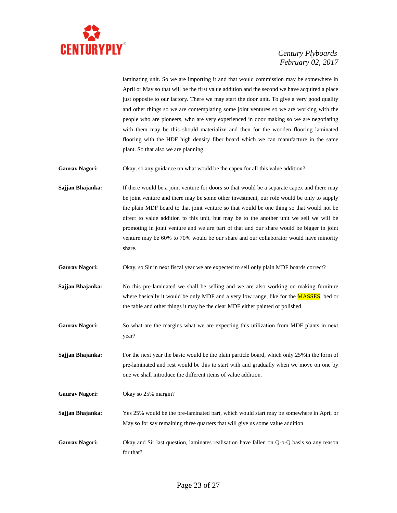

laminating unit. So we are importing it and that would commission may be somewhere in April or May so that will be the first value addition and the second we have acquired a place just opposite to our factory. There we may start the door unit. To give a very good quality and other things so we are contemplating some joint ventures so we are working with the people who are pioneers, who are very experienced in door making so we are negotiating with them may be this should materialize and then for the wooden flooring laminated flooring with the HDF high density fiber board which we can manufacture in the same plant. So that also we are planning.

**Gaurav Nagori:** Okay, so any guidance on what would be the capex for all this value addition?

**Sajjan Bhajanka:** If there would be a joint venture for doors so that would be a separate capex and there may be joint venture and there may be some other investment, our role would be only to supply the plain MDF board to that joint venture so that would be one thing so that would not be direct to value addition to this unit, but may be to the another unit we sell we will be promoting in joint venture and we are part of that and our share would be bigger in joint venture may be 60% to 70% would be our share and our collaborator would have minority share.

**Gaurav Nagori:** Okay, so Sir in next fiscal year we are expected to sell only plain MDF boards correct?

**Sajjan Bhajanka:** No this pre-laminated we shall be selling and we are also working on making furniture where basically it would be only MDF and a very low range, like for the **MASSES**, bed or the table and other things it may be the clear MDF either painted or polished.

**Gaurav Nagori:** So what are the margins what we are expecting this utilization from MDF plants in next year?

**Sajjan Bhajanka:** For the next year the basic would be the plain particle board, which only 25% in the form of pre-laminated and rest would be this to start with and gradually when we move on one by one we shall introduce the different items of value addition.

**Gaurav Nagori:** Okay so 25% margin?

**Sajjan Bhajanka:** Yes 25% would be the pre-laminated part, which would start may be somewhere in April or May so for say remaining three quarters that will give us some value addition.

**Gaurav Nagori:** Okay and Sir last question, laminates realisation have fallen on Q-o-Q basis so any reason for that?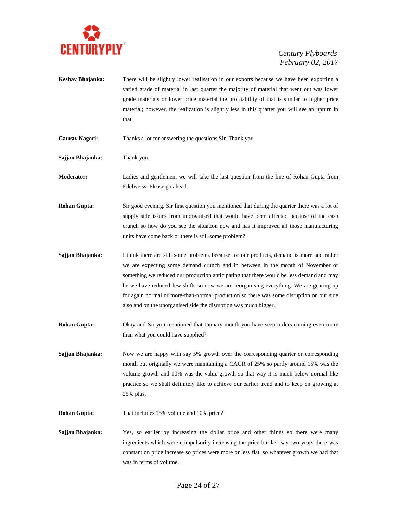

- **Keshav Bhajanka:** There will be slightly lower realisation in our exports because we have been exporting a varied grade of material in last quarter the majority of material that went out was lower grade materials or lower price material the profitability of that is similar to higher price material; however, the realization is slightly less in this quarter you will see an upturn in that.
- **Gaurav Nagori:** Thanks a lot for answering the questions Sir. Thank you.
- **Sajjan Bhajanka:** Thank you.

**Moderator:** Ladies and gentlemen, we will take the last question from the line of Rohan Gupta from Edelweiss. Please go ahead.

- **Rohan Gupta:** Sir good evening. Sir first question you mentioned that during the quarter there was a lot of supply side issues from unorganised that would have been affected because of the cash crunch so how do you see the situation now and has it improved all those manufacturing units have come back or there is still some problem?
- **Sajjan Bhajanka:** I think there are still some problems because for our products, demand is more and rather we are expecting some demand crunch and in between in the month of November or something we reduced our production anticipating that there would be less demand and may be we have reduced few shifts so now we are reorganising everything. We are gearing up for again normal or more-than-normal production so there was some disruption on our side also and on the unorganised side the disruption was much bigger.
- **Rohan Gupta:** Okay and Sir you mentioned that January month you have seen orders coming even more than what you could have supplied?

**Sajjan Bhajanka:** Now we are happy with say 5% growth over the corresponding quarter or corresponding month but originally we were maintaining a CAGR of 25% so partly around 15% was the volume growth and 10% was the value growth so that way it is much below normal like practice so we shall definitely like to achieve our earlier trend and to keep on growing at 25% plus.

- **Rohan Gupta:** That includes 15% volume and 10% price?
- **Sajjan Bhajanka:** Yes, so earlier by increasing the dollar price and other things so there were many ingredients which were compulsorily increasing the price but last say two years there was constant on price increase so prices were more or less flat, so whatever growth we had that was in terms of volume.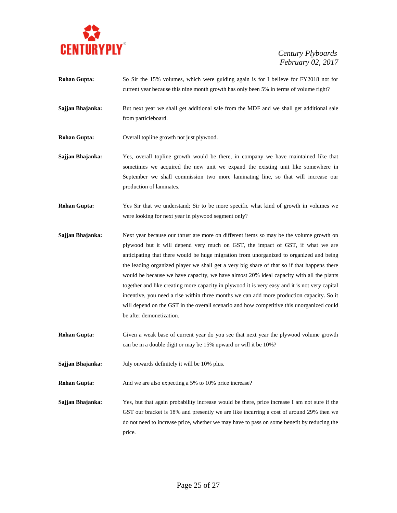

- **Rohan Gupta:** So Sir the 15% volumes, which were guiding again is for I believe for FY2018 not for current year because this nine month growth has only been 5% in terms of volume right?
- **Sajjan Bhajanka:** But next year we shall get additional sale from the MDF and we shall get additional sale from particleboard.
- **Rohan Gupta:** Overall topline growth not just plywood.
- **Sajjan Bhajanka:** Yes, overall topline growth would be there, in company we have maintained like that sometimes we acquired the new unit we expand the existing unit like somewhere in September we shall commission two more laminating line, so that will increase our production of laminates.
- **Rohan Gupta:** Yes Sir that we understand; Sir to be more specific what kind of growth in volumes we were looking for next year in plywood segment only?
- **Sajjan Bhajanka:** Next year because our thrust are more on different items so may be the volume growth on plywood but it will depend very much on GST, the impact of GST, if what we are anticipating that there would be huge migration from unorganized to organized and being the leading organized player we shall get a very big share of that so if that happens there would be because we have capacity, we have almost 20% ideal capacity with all the plants together and like creating more capacity in plywood it is very easy and it is not very capital incentive, you need a rise within three months we can add more production capacity. So it will depend on the GST in the overall scenario and how competitive this unorganized could be after demonetization.
- **Rohan Gupta:** Given a weak base of current year do you see that next year the plywood volume growth can be in a double digit or may be 15% upward or will it be 10%?
- **Sajjan Bhajanka:** July onwards definitely it will be 10% plus.

**Rohan Gupta:** And we are also expecting a 5% to 10% price increase?

**Sajjan Bhajanka:** Yes, but that again probability increase would be there, price increase I am not sure if the GST our bracket is 18% and presently we are like incurring a cost of around 29% then we do not need to increase price, whether we may have to pass on some benefit by reducing the price.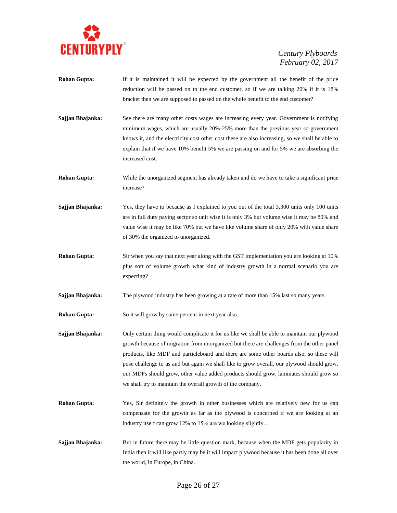

- **Rohan Gupta:** If it is maintained it will be expected by the government all the benefit of the price reduction will be passed on to the end customer, so if we are talking 20% if it is 18% bracket then we are supposed to passed on the whole benefit to the end customer?
- Sajjan Bhajanka: See there are many other costs wages are increasing every year. Government is notifying minimum wages, which are usually 20%-25% more than the previous year so government knows it, and the electricity cost other cost these are also increasing, so we shall be able to explain that if we have 10% benefit 5% we are passing on and for 5% we are absorbing the increased cost.
- **Rohan Gupta:** While the unorganized segment has already taken and do we have to take a significant price increase?
- **Sajjan Bhajanka:** Yes, they have to because as I explained to you out of the total 3,300 units only 100 units are in full duty paying sector so unit wise it is only 3% but volume wise it may be 80% and value wise it may be like 70% but we have like volume share of only 20% with value share of 30% the organized to unorganized.
- **Rohan Gupta:** Sir when you say that next year along with the GST implementation you are looking at 10% plus sort of volume growth what kind of industry growth in a normal scenario you are expecting?
- **Sajjan Bhajanka:** The plywood industry has been growing at a rate of more than 15% last so many years.
- **Rohan Gupta:** So it will grow by same percent in next year also.
- **Sajjan Bhajanka:** Only certain thing would complicate it for us like we shall be able to maintain our plywood growth because of migration from unorganized but there are challenges from the other panel products, like MDF and particleboard and there are some other boards also, so these will pose challenge to us and but again we shall like to grow overall, our plywood should grow, our MDFs should grow, other value added products should grow, laminates should grow so we shall try to maintain the overall growth of the company.
- **Rohan Gupta:** Yes, Sir definitely the growth in other businesses which are relatively new for us can compensate for the growth as far as the plywood is concerned if we are looking at an industry itself can grow 12% to 15% are we looking slightly…
- **Sajjan Bhajanka:** But in future there may be little question mark, because when the MDF gets popularity in India then it will like partly may be it will impact plywood because it has been done all over the world, in Europe, in China.